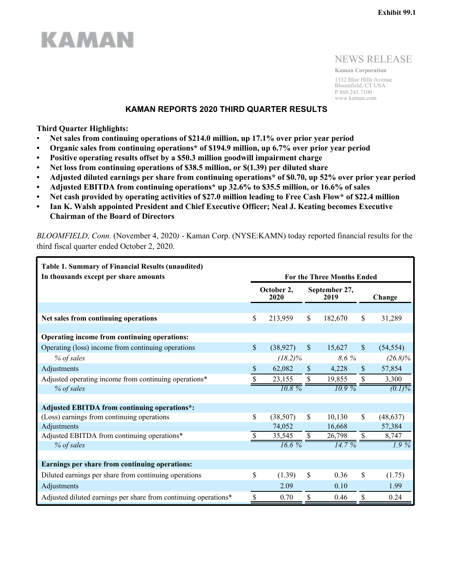## NEWS RELEASE

**Kaman Corporation** 1332 Blue Hills Avenue Bloomfield, CT USA P 860.243.7100 www.kaman.com

### **KAMAN REPORTS 2020 THIRD QUARTER RESULTS**

### **Third Quarter Highlights:**

**KAMAN** 

- **Net sales from continuing operations of \$214.0 million, up 17.1% over prior year period**
- **• Organic sales from continuing operations\* of \$194.9 million, up 6.7% over prior year period**
- **• Positive operating results offset by a \$50.3 million goodwill impairment charge**
- **• Net loss from continuing operations of \$38.5 million, or \$(1.39) per diluted share**
- **• Adjusted diluted earnings per share from continuing operations\* of \$0.70, up 52% over prior year period**
- **• Adjusted EBITDA from continuing operations\* up 32.6% to \$35.5 million, or 16.6% of sales**
- **• Net cash provided by operating activities of \$27.0 million leading to Free Cash Flow\* of \$22.4 million**
- **• Ian K. Walsh appointed President and Chief Executive Officer; Neal J. Keating becomes Executive Chairman of the Board of Directors**

| <b>Table 1. Summary of Financial Results (unaudited)</b>        |                                   |                    |               |                       |               |            |
|-----------------------------------------------------------------|-----------------------------------|--------------------|---------------|-----------------------|---------------|------------|
| In thousands except per share amounts                           | <b>For the Three Months Ended</b> |                    |               |                       |               |            |
|                                                                 |                                   | October 2,<br>2020 |               | September 27,<br>2019 |               | Change     |
|                                                                 |                                   |                    |               |                       |               |            |
| Net sales from continuing operations                            | \$                                | 213,959            | \$            | 182,670               | \$            | 31,289     |
|                                                                 |                                   |                    |               |                       |               |            |
| Operating income from continuing operations:                    |                                   |                    |               |                       |               |            |
| Operating (loss) income from continuing operations              | \$                                | (38, 927)          | $\mathsf{\$}$ | 15,627                | $\mathcal{S}$ | (54, 554)  |
| % of sales                                                      |                                   | $(18.2)\%$         |               | 8.6%                  |               | $(26.8)\%$ |
| Adjustments                                                     | \$                                | 62,082             | \$            | 4,228                 | \$            | 57,854     |
| Adjusted operating income from continuing operations*           | \$                                | 23,155             | \$            | 19,855                | \$            | 3,300      |
| % of sales                                                      |                                   | $10.8\%$           |               | $10.9\%$              |               | $(0.1)\%$  |
|                                                                 |                                   |                    |               |                       |               |            |
| <b>Adjusted EBITDA from continuing operations*:</b>             |                                   |                    |               |                       |               |            |
| (Loss) earnings from continuing operations                      | \$                                | (38, 507)          | \$            | 10,130                | \$            | (48, 637)  |
| Adjustments                                                     |                                   | 74,052             |               | 16,668                |               | 57,384     |
| Adjusted EBITDA from continuing operations*                     |                                   | 35,545             | \$            | 26,798                | S.            | 8,747      |
| % of sales                                                      |                                   | 16.6%              |               | 14.7%                 |               | $1.9\%$    |
|                                                                 |                                   |                    |               |                       |               |            |
| Earnings per share from continuing operations:                  |                                   |                    |               |                       |               |            |
| Diluted earnings per share from continuing operations           | \$                                | (1.39)             | \$            | 0.36                  | \$            | (1.75)     |
| Adjustments                                                     |                                   | 2.09               |               | 0.10                  |               | 1.99       |
| Adjusted diluted earnings per share from continuing operations* | \$                                | 0.70               | \$            | 0.46                  | \$            | 0.24       |

*BLOOMFIELD, Conn.* (November 4, 2020*)* - Kaman Corp. (NYSE:KAMN) today reported financial results for the third fiscal quarter ended October 2, 2020.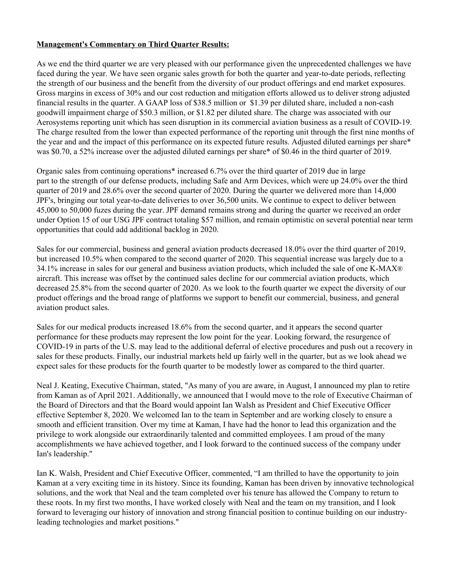## **Management's Commentary on Third Quarter Results:**

As we end the third quarter we are very pleased with our performance given the unprecedented challenges we have faced during the year. We have seen organic sales growth for both the quarter and year-to-date periods, reflecting the strength of our business and the benefit from the diversity of our product offerings and end market exposures. Gross margins in excess of 30% and our cost reduction and mitigation efforts allowed us to deliver strong adjusted financial results in the quarter. A GAAP loss of \$38.5 million or \$1.39 per diluted share, included a non-cash goodwill impairment charge of \$50.3 million, or \$1.82 per diluted share. The charge was associated with our Aerosystems reporting unit which has seen disruption in its commercial aviation business as a result of COVID-19. The charge resulted from the lower than expected performance of the reporting unit through the first nine months of the year and and the impact of this performance on its expected future results. Adjusted diluted earnings per share\* was \$0.70, a 52% increase over the adjusted diluted earnings per share\* of \$0.46 in the third quarter of 2019.

Organic sales from continuing operations\* increased 6.7% over the third quarter of 2019 due in large part to the strength of our defense products, including Safe and Arm Devices, which were up 24.0% over the third quarter of 2019 and 28.6% over the second quarter of 2020. During the quarter we delivered more than 14,000 JPF's, bringing our total year-to-date deliveries to over 36,500 units. We continue to expect to deliver between 45,000 to 50,000 fuzes during the year. JPF demand remains strong and during the quarter we received an order under Option 15 of our USG JPF contract totaling \$57 million, and remain optimistic on several potential near term opportunities that could add additional backlog in 2020.

Sales for our commercial, business and general aviation products decreased 18.0% over the third quarter of 2019, but increased 10.5% when compared to the second quarter of 2020. This sequential increase was largely due to a 34.1% increase in sales for our general and business aviation products, which included the sale of one K-MAX® aircraft. This increase was offset by the continued sales decline for our commercial aviation products, which decreased 25.8% from the second quarter of 2020. As we look to the fourth quarter we expect the diversity of our product offerings and the broad range of platforms we support to benefit our commercial, business, and general aviation product sales.

Sales for our medical products increased 18.6% from the second quarter, and it appears the second quarter performance for these products may represent the low point for the year. Looking forward, the resurgence of COVID-19 in parts of the U.S. may lead to the additional deferral of elective procedures and push out a recovery in sales for these products. Finally, our industrial markets held up fairly well in the quarter, but as we look ahead we expect sales for these products for the fourth quarter to be modestly lower as compared to the third quarter.

Neal J. Keating, Executive Chairman, stated, "As many of you are aware, in August, I announced my plan to retire from Kaman as of April 2021. Additionally, we announced that I would move to the role of Executive Chairman of the Board of Directors and that the Board would appoint Ian Walsh as President and Chief Executive Officer effective September 8, 2020. We welcomed Ian to the team in September and are working closely to ensure a smooth and efficient transition. Over my time at Kaman, I have had the honor to lead this organization and the privilege to work alongside our extraordinarily talented and committed employees. I am proud of the many accomplishments we have achieved together, and I look forward to the continued success of the company under Ian's leadership."

Ian K. Walsh, President and Chief Executive Officer, commented, "I am thrilled to have the opportunity to join Kaman at a very exciting time in its history. Since its founding, Kaman has been driven by innovative technological solutions, and the work that Neal and the team completed over his tenure has allowed the Company to return to these roots. In my first two months, I have worked closely with Neal and the team on my transition, and I look forward to leveraging our history of innovation and strong financial position to continue building on our industryleading technologies and market positions."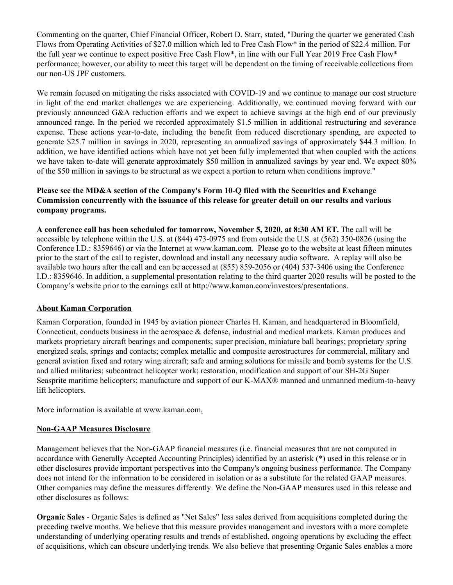Commenting on the quarter, Chief Financial Officer, Robert D. Starr, stated, "During the quarter we generated Cash Flows from Operating Activities of \$27.0 million which led to Free Cash Flow\* in the period of \$22.4 million. For the full year we continue to expect positive Free Cash Flow\*, in line with our Full Year 2019 Free Cash Flow\* performance; however, our ability to meet this target will be dependent on the timing of receivable collections from our non-US JPF customers.

We remain focused on mitigating the risks associated with COVID-19 and we continue to manage our cost structure in light of the end market challenges we are experiencing. Additionally, we continued moving forward with our previously announced G&A reduction efforts and we expect to achieve savings at the high end of our previously announced range. In the period we recorded approximately \$1.5 million in additional restructuring and severance expense. These actions year-to-date, including the benefit from reduced discretionary spending, are expected to generate \$25.7 million in savings in 2020, representing an annualized savings of approximately \$44.3 million. In addition, we have identified actions which have not yet been fully implemented that when coupled with the actions we have taken to-date will generate approximately \$50 million in annualized savings by year end. We expect 80% of the \$50 million in savings to be structural as we expect a portion to return when conditions improve."

## **Please see the MD&A section of the Company's Form 10-Q filed with the Securities and Exchange Commission concurrently with the issuance of this release for greater detail on our results and various company programs.**

**A conference call has been scheduled for tomorrow, November 5, 2020, at 8:30 AM ET.** The call will be accessible by telephone within the U.S. at (844) 473-0975 and from outside the U.S. at (562) 350-0826 (using the Conference I.D.: 8359646) or via the Internet at www.kaman.com. Please go to the website at least fifteen minutes prior to the start of the call to register, download and install any necessary audio software. A replay will also be available two hours after the call and can be accessed at (855) 859-2056 or (404) 537-3406 using the Conference I.D.: 8359646. In addition, a supplemental presentation relating to the third quarter 2020 results will be posted to the Company's website prior to the earnings call at http://www.kaman.com/investors/presentations.

## **About Kaman Corporation**

Kaman Corporation, founded in 1945 by aviation pioneer Charles H. Kaman, and headquartered in Bloomfield, Connecticut, conducts business in the aerospace & defense, industrial and medical markets. Kaman produces and markets proprietary aircraft bearings and components; super precision, miniature ball bearings; proprietary spring energized seals, springs and contacts; complex metallic and composite aerostructures for commercial, military and general aviation fixed and rotary wing aircraft; safe and arming solutions for missile and bomb systems for the U.S. and allied militaries; subcontract helicopter work; restoration, modification and support of our SH-2G Super Seasprite maritime helicopters; manufacture and support of our K-MAX® manned and unmanned medium-to-heavy lift helicopters.

More information is available at www.kaman.com.

## **Non-GAAP Measures Disclosure**

Management believes that the Non-GAAP financial measures (i.e. financial measures that are not computed in accordance with Generally Accepted Accounting Principles) identified by an asterisk (\*) used in this release or in other disclosures provide important perspectives into the Company's ongoing business performance. The Company does not intend for the information to be considered in isolation or as a substitute for the related GAAP measures. Other companies may define the measures differently. We define the Non-GAAP measures used in this release and other disclosures as follows:

**Organic Sales** - Organic Sales is defined as "Net Sales" less sales derived from acquisitions completed during the preceding twelve months. We believe that this measure provides management and investors with a more complete understanding of underlying operating results and trends of established, ongoing operations by excluding the effect of acquisitions, which can obscure underlying trends. We also believe that presenting Organic Sales enables a more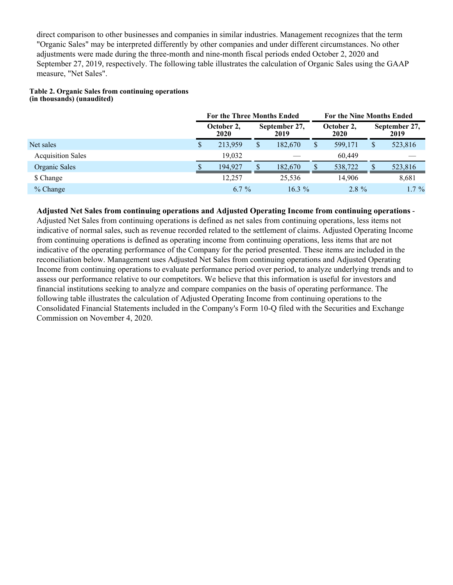direct comparison to other businesses and companies in similar industries. Management recognizes that the term "Organic Sales" may be interpreted differently by other companies and under different circumstances. No other adjustments were made during the three-month and nine-month fiscal periods ended October 2, 2020 and September 27, 2019, respectively. The following table illustrates the calculation of Organic Sales using the GAAP measure, "Net Sales".

#### **Table 2. Organic Sales from continuing operations (in thousands) (unaudited)**

|                          |   | <b>For the Three Months Ended</b> |  |                       |              | <b>For the Nine Months Ended</b> |  |                       |  |
|--------------------------|---|-----------------------------------|--|-----------------------|--------------|----------------------------------|--|-----------------------|--|
|                          |   | October 2,<br>2020                |  | September 27,<br>2019 |              | October 2,<br><b>2020</b>        |  | September 27,<br>2019 |  |
| Net sales                | S | 213,959                           |  | 182,670               | $\mathbb{S}$ | 599,171                          |  | 523,816               |  |
| <b>Acquisition Sales</b> |   | 19.032                            |  |                       |              | 60.449                           |  |                       |  |
| Organic Sales            |   | 194.927                           |  | 182,670               |              | 538,722                          |  | 523,816               |  |
| \$ Change                |   | 12.257                            |  | 25,536                |              | 14,906                           |  | 8,681                 |  |
| % Change                 |   | $6.7\%$                           |  | $16.3\%$              |              | $2.8 \%$                         |  | $1.7\%$               |  |

**Adjusted Net Sales from continuing operations and Adjusted Operating Income from continuing operations** - Adjusted Net Sales from continuing operations is defined as net sales from continuing operations, less items not indicative of normal sales, such as revenue recorded related to the settlement of claims. Adjusted Operating Income from continuing operations is defined as operating income from continuing operations, less items that are not indicative of the operating performance of the Company for the period presented. These items are included in the reconciliation below. Management uses Adjusted Net Sales from continuing operations and Adjusted Operating Income from continuing operations to evaluate performance period over period, to analyze underlying trends and to assess our performance relative to our competitors. We believe that this information is useful for investors and financial institutions seeking to analyze and compare companies on the basis of operating performance. The following table illustrates the calculation of Adjusted Operating Income from continuing operations to the Consolidated Financial Statements included in the Company's Form 10-Q filed with the Securities and Exchange Commission on November 4, 2020.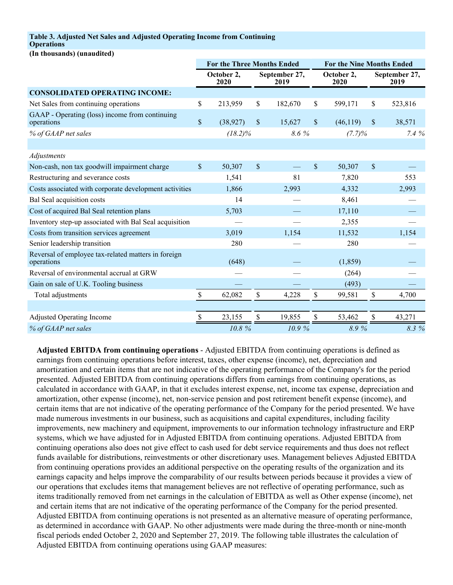### **Table 3. Adjusted Net Sales and Adjusted Operating Income from Continuing**

### **Operations**

**(In thousands) (unaudited)**

|                                                                   |              | <b>For the Three Months Ended</b> |    |                       |               | <b>For the Nine Months Ended</b> |               |                       |  |
|-------------------------------------------------------------------|--------------|-----------------------------------|----|-----------------------|---------------|----------------------------------|---------------|-----------------------|--|
|                                                                   |              | October 2,<br>2020                |    | September 27,<br>2019 |               | October 2,<br>2020               |               | September 27,<br>2019 |  |
| <b>CONSOLIDATED OPERATING INCOME:</b>                             |              |                                   |    |                       |               |                                  |               |                       |  |
| Net Sales from continuing operations                              | \$           | 213,959                           | \$ | 182,670               | \$            | 599,171                          | \$            | 523,816               |  |
| GAAP - Operating (loss) income from continuing<br>operations      | $\mathbb{S}$ | (38, 927)                         | \$ | 15,627                | $\mathsf{\$}$ | (46, 119)                        | $\sqrt{\ }$   | 38,571                |  |
| % of GAAP net sales                                               |              | $(18.2)\%$                        |    | 8.6 %                 |               | (7.7)%                           |               | $7.4\%$               |  |
|                                                                   |              |                                   |    |                       |               |                                  |               |                       |  |
| Adjustments                                                       |              |                                   |    |                       |               |                                  |               |                       |  |
| Non-cash, non tax goodwill impairment charge                      | \$           | 50,307                            | \$ |                       | $\$$          | 50,307                           | $\sqrt{\ }$   |                       |  |
| Restructuring and severance costs                                 |              | 1,541                             |    | 81                    |               | 7,820                            |               | 553                   |  |
| Costs associated with corporate development activities            |              | 1,866                             |    | 2,993                 |               | 4,332                            |               | 2,993                 |  |
| Bal Seal acquisition costs                                        |              | 14                                |    |                       |               | 8,461                            |               |                       |  |
| Cost of acquired Bal Seal retention plans                         |              | 5,703                             |    |                       |               | 17,110                           |               |                       |  |
| Inventory step-up associated with Bal Seal acquisition            |              |                                   |    |                       |               | 2,355                            |               |                       |  |
| Costs from transition services agreement                          |              | 3,019                             |    | 1,154                 |               | 11,532                           |               | 1,154                 |  |
| Senior leadership transition                                      |              | 280                               |    |                       |               | 280                              |               |                       |  |
| Reversal of employee tax-related matters in foreign<br>operations |              | (648)                             |    |                       |               | (1, 859)                         |               |                       |  |
| Reversal of environmental accrual at GRW                          |              |                                   |    |                       |               | (264)                            |               |                       |  |
| Gain on sale of U.K. Tooling business                             |              |                                   |    |                       |               | (493)                            |               |                       |  |
| Total adjustments                                                 | \$           | 62,082                            | \$ | 4,228                 | \$            | 99,581                           | $\mathsf{\$}$ | 4,700                 |  |
|                                                                   |              |                                   |    |                       |               |                                  |               |                       |  |
| <b>Adjusted Operating Income</b>                                  | S            | 23,155                            | S  | 19,855                | \$            | 53,462                           | \$.           | 43,271                |  |
| % of GAAP net sales                                               |              | 10.8%                             |    | 10.9%                 |               | 8.9%                             |               | 8.3 %                 |  |

**Adjusted EBITDA from continuing operations** - Adjusted EBITDA from continuing operations is defined as earnings from continuing operations before interest, taxes, other expense (income), net, depreciation and amortization and certain items that are not indicative of the operating performance of the Company's for the period presented. Adjusted EBITDA from continuing operations differs from earnings from continuing operations, as calculated in accordance with GAAP, in that it excludes interest expense, net, income tax expense, depreciation and amortization, other expense (income), net, non-service pension and post retirement benefit expense (income), and certain items that are not indicative of the operating performance of the Company for the period presented. We have made numerous investments in our business, such as acquisitions and capital expenditures, including facility improvements, new machinery and equipment, improvements to our information technology infrastructure and ERP systems, which we have adjusted for in Adjusted EBITDA from continuing operations. Adjusted EBITDA from continuing operations also does not give effect to cash used for debt service requirements and thus does not reflect funds available for distributions, reinvestments or other discretionary uses. Management believes Adjusted EBITDA from continuing operations provides an additional perspective on the operating results of the organization and its earnings capacity and helps improve the comparability of our results between periods because it provides a view of our operations that excludes items that management believes are not reflective of operating performance, such as items traditionally removed from net earnings in the calculation of EBITDA as well as Other expense (income), net and certain items that are not indicative of the operating performance of the Company for the period presented. Adjusted EBITDA from continuing operations is not presented as an alternative measure of operating performance, as determined in accordance with GAAP. No other adjustments were made during the three-month or nine-month fiscal periods ended October 2, 2020 and September 27, 2019. The following table illustrates the calculation of Adjusted EBITDA from continuing operations using GAAP measures: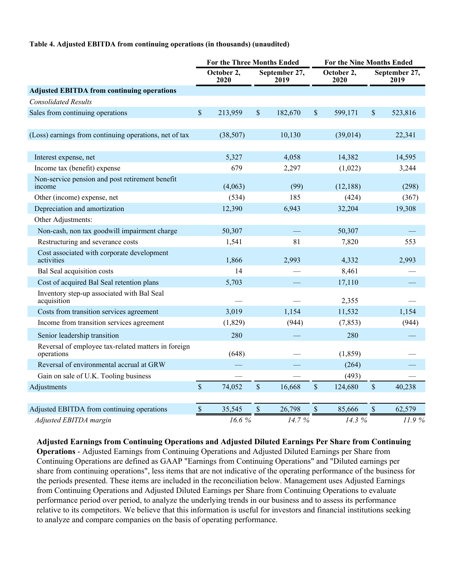#### **Table 4. Adjusted EBITDA from continuing operations (in thousands) (unaudited)**

|                                                                   |               | <b>For the Three Months Ended</b> |               |                       |             | <b>For the Nine Months Ended</b> |               |                       |  |
|-------------------------------------------------------------------|---------------|-----------------------------------|---------------|-----------------------|-------------|----------------------------------|---------------|-----------------------|--|
|                                                                   |               | October 2,<br>2020                |               | September 27,<br>2019 |             | October 2,<br>2020               |               | September 27,<br>2019 |  |
| <b>Adjusted EBITDA from continuing operations</b>                 |               |                                   |               |                       |             |                                  |               |                       |  |
| <b>Consolidated Results</b>                                       |               |                                   |               |                       |             |                                  |               |                       |  |
| Sales from continuing operations                                  | $\$$          | 213,959                           | $\mathbb{S}$  | 182,670               | $\mathbb S$ | 599,171                          | \$            | 523,816               |  |
| (Loss) earnings from continuing operations, net of tax            |               | (38, 507)                         |               | 10,130                |             | (39, 014)                        |               | 22,341                |  |
|                                                                   |               |                                   |               |                       |             |                                  |               |                       |  |
| Interest expense, net                                             |               | 5,327                             |               | 4,058                 |             | 14,382                           |               | 14,595                |  |
| Income tax (benefit) expense                                      |               | 679                               |               | 2,297                 |             | (1,022)                          |               | 3,244                 |  |
| Non-service pension and post retirement benefit<br>income         |               | (4,063)                           |               | (99)                  |             | (12, 188)                        |               | (298)                 |  |
| Other (income) expense, net                                       |               | (534)                             |               | 185                   |             | (424)                            |               | (367)                 |  |
| Depreciation and amortization                                     |               | 12,390                            |               | 6,943                 |             | 32,204                           |               | 19,308                |  |
| Other Adjustments:                                                |               |                                   |               |                       |             |                                  |               |                       |  |
| Non-cash, non tax goodwill impairment charge                      |               | 50,307                            |               |                       |             | 50,307                           |               |                       |  |
| Restructuring and severance costs                                 |               | 1,541                             |               | 81                    |             | 7,820                            |               | 553                   |  |
| Cost associated with corporate development<br>activities          |               | 1,866                             |               | 2,993                 |             | 4,332                            |               | 2,993                 |  |
| Bal Seal acquisition costs                                        |               | 14                                |               |                       |             | 8,461                            |               |                       |  |
| Cost of acquired Bal Seal retention plans                         |               | 5,703                             |               |                       |             | 17,110                           |               |                       |  |
| Inventory step-up associated with Bal Seal<br>acquisition         |               |                                   |               |                       |             | 2,355                            |               |                       |  |
| Costs from transition services agreement                          |               | 3,019                             |               | 1,154                 |             | 11,532                           |               | 1,154                 |  |
| Income from transition services agreement                         |               | (1,829)                           |               | (944)                 |             | (7, 853)                         |               | (944)                 |  |
| Senior leadership transition                                      |               | 280                               |               |                       |             | 280                              |               |                       |  |
| Reversal of employee tax-related matters in foreign<br>operations |               | (648)                             |               |                       |             | (1, 859)                         |               |                       |  |
| Reversal of environmental accrual at GRW                          |               |                                   |               |                       |             | (264)                            |               |                       |  |
| Gain on sale of U.K. Tooling business                             |               |                                   |               |                       |             | (493)                            |               |                       |  |
| Adjustments                                                       | $\mathsf{\$}$ | 74,052                            | $\mathcal{S}$ | 16,668                | \$          | 124,680                          | $\mathcal{S}$ | 40,238                |  |
| Adjusted EBITDA from continuing operations                        | $\mathbb{S}$  | 35,545                            | $\$$          | 26,798                | \$          | 85,666                           | \$            | 62,579                |  |
| Adjusted EBITDA margin                                            |               | 16.6%                             |               | 14.7 %                |             | 14.3 %                           |               | 11.9%                 |  |

**Adjusted Earnings from Continuing Operations and Adjusted Diluted Earnings Per Share from Continuing Operations** - Adjusted Earnings from Continuing Operations and Adjusted Diluted Earnings per Share from Continuing Operations are defined as GAAP "Earnings from Continuing Operations" and "Diluted earnings per share from continuing operations", less items that are not indicative of the operating performance of the business for the periods presented. These items are included in the reconciliation below. Management uses Adjusted Earnings from Continuing Operations and Adjusted Diluted Earnings per Share from Continuing Operations to evaluate performance period over period, to analyze the underlying trends in our business and to assess its performance relative to its competitors. We believe that this information is useful for investors and financial institutions seeking to analyze and compare companies on the basis of operating performance.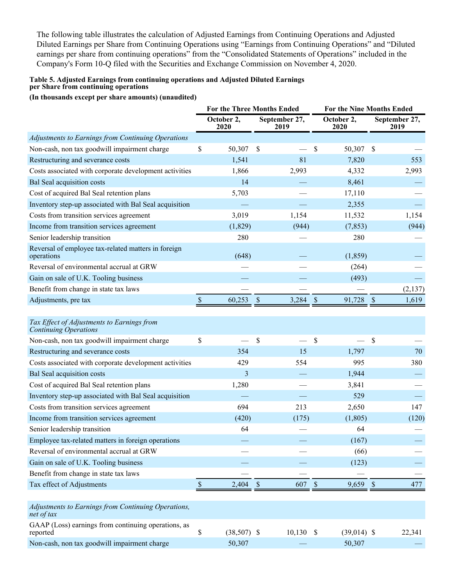The following table illustrates the calculation of Adjusted Earnings from Continuing Operations and Adjusted Diluted Earnings per Share from Continuing Operations using "Earnings from Continuing Operations" and "Diluted earnings per share from continuing operations" from the "Consolidated Statements of Operations" included in the Company's Form 10-Q filed with the Securities and Exchange Commission on November 4, 2020.

### **Table 5. Adjusted Earnings from continuing operations and Adjusted Diluted Earnings per Share from continuing operations**

**(In thousands except per share amounts) (unaudited)**

|                                                                            |              | For the Three Months Ended |                           | <b>For the Nine Months Ended</b> |                    |               |                       |
|----------------------------------------------------------------------------|--------------|----------------------------|---------------------------|----------------------------------|--------------------|---------------|-----------------------|
|                                                                            |              | October 2,<br>2020         | September 27,<br>2019     |                                  | October 2,<br>2020 |               | September 27,<br>2019 |
| Adjustments to Earnings from Continuing Operations                         |              |                            |                           |                                  |                    |               |                       |
| Non-cash, non tax goodwill impairment charge                               | \$           | 50,307                     | $\boldsymbol{\mathsf{S}}$ | \$                               | 50,307 \$          |               |                       |
| Restructuring and severance costs                                          |              | 1,541                      | 81                        |                                  | 7,820              |               | 553                   |
| Costs associated with corporate development activities                     |              | 1,866                      | 2,993                     |                                  | 4,332              |               | 2,993                 |
| Bal Seal acquisition costs                                                 |              | 14                         |                           |                                  | 8,461              |               |                       |
| Cost of acquired Bal Seal retention plans                                  |              | 5,703                      |                           |                                  | 17,110             |               |                       |
| Inventory step-up associated with Bal Seal acquisition                     |              |                            |                           |                                  | 2,355              |               |                       |
| Costs from transition services agreement                                   |              | 3,019                      | 1,154                     |                                  | 11,532             |               | 1,154                 |
| Income from transition services agreement                                  |              | (1, 829)                   | (944)                     |                                  | (7, 853)           |               | (944)                 |
| Senior leadership transition                                               |              | 280                        |                           |                                  | 280                |               |                       |
| Reversal of employee tax-related matters in foreign<br>operations          |              | (648)                      |                           |                                  | (1, 859)           |               |                       |
| Reversal of environmental accrual at GRW                                   |              |                            |                           |                                  | (264)              |               |                       |
| Gain on sale of U.K. Tooling business                                      |              |                            |                           |                                  | (493)              |               |                       |
| Benefit from change in state tax laws                                      |              |                            |                           |                                  |                    |               | (2,137)               |
| Adjustments, pre tax                                                       | $\mathbb S$  | 60,253                     | $\mathcal{S}$<br>3,284    | $\mathcal{S}$                    | 91,728             | $\mathcal{S}$ | 1,619                 |
|                                                                            |              |                            |                           |                                  |                    |               |                       |
| Tax Effect of Adjustments to Earnings from<br><b>Continuing Operations</b> |              |                            |                           |                                  |                    |               |                       |
| Non-cash, non tax goodwill impairment charge                               | \$           |                            | \$                        | \$                               |                    | $\mathcal{S}$ |                       |
| Restructuring and severance costs                                          |              | 354                        | 15                        |                                  | 1,797              |               | 70                    |
| Costs associated with corporate development activities                     |              | 429                        | 554                       |                                  | 995                |               | 380                   |
| Bal Seal acquisition costs                                                 |              | 3                          |                           |                                  | 1,944              |               |                       |
| Cost of acquired Bal Seal retention plans                                  |              | 1,280                      |                           |                                  | 3,841              |               |                       |
| Inventory step-up associated with Bal Seal acquisition                     |              |                            |                           |                                  | 529                |               |                       |
| Costs from transition services agreement                                   |              | 694                        | 213                       |                                  | 2,650              |               | 147                   |
| Income from transition services agreement                                  |              | (420)                      | (175)                     |                                  | (1, 805)           |               | (120)                 |
| Senior leadership transition                                               |              | 64                         |                           |                                  | 64                 |               |                       |
| Employee tax-related matters in foreign operations                         |              |                            |                           |                                  | (167)              |               |                       |
| Reversal of environmental accrual at GRW                                   |              |                            |                           |                                  | (66)               |               |                       |
| Gain on sale of U.K. Tooling business                                      |              |                            |                           |                                  | (123)              |               |                       |
| Benefit from change in state tax laws                                      |              |                            |                           |                                  |                    |               |                       |
| Tax effect of Adjustments                                                  | $\mathbb{S}$ | 2,404                      | $\sqrt{3}$<br>607         | $\mathcal{S}$                    | 9,659              | $\sqrt{S}$    | 477                   |
|                                                                            |              |                            |                           |                                  |                    |               |                       |
| Adjustments to Earnings from Continuing Operations,<br>net of tax          |              |                            |                           |                                  |                    |               |                       |
| GAAP (Loss) earnings from continuing operations, as<br>reported            | \$           | $(38,507)$ \$              | 10,130                    | \$                               | $(39,014)$ \$      |               | 22,341                |

Non-cash, non tax goodwill impairment charge 50,307 - 50,307 - 50,307 - 50,307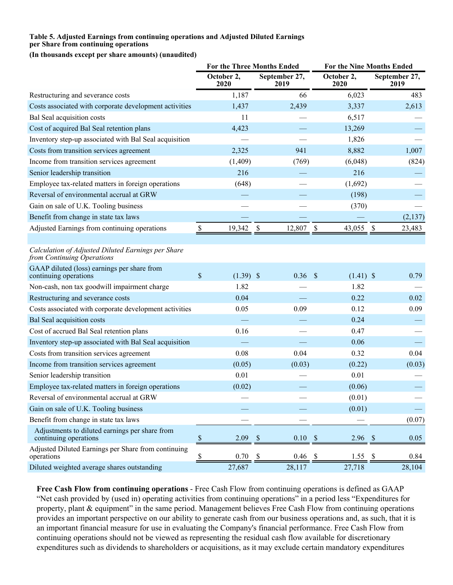#### **Table 5. Adjusted Earnings from continuing operations and Adjusted Diluted Earnings per Share from continuing operations**

**(In thousands except per share amounts) (unaudited)**

|                                                                                  | <b>For the Three Months Ended</b>   |                                     |                                     | For the Nine Months Ended |  |  |
|----------------------------------------------------------------------------------|-------------------------------------|-------------------------------------|-------------------------------------|---------------------------|--|--|
|                                                                                  | October 2,<br>2020                  | September 27,<br>2019               | October 2,<br>2020                  | September 27,<br>2019     |  |  |
| Restructuring and severance costs                                                | 1,187                               | 66                                  | 6,023                               | 483                       |  |  |
| Costs associated with corporate development activities                           | 1,437                               | 2,439                               | 3,337                               | 2,613                     |  |  |
| Bal Seal acquisition costs                                                       | 11                                  |                                     | 6,517                               |                           |  |  |
| Cost of acquired Bal Seal retention plans                                        | 4,423                               |                                     | 13,269                              |                           |  |  |
| Inventory step-up associated with Bal Seal acquisition                           |                                     |                                     | 1,826                               |                           |  |  |
| Costs from transition services agreement                                         | 2,325                               | 941                                 | 8,882                               | 1,007                     |  |  |
| Income from transition services agreement                                        | (1,409)                             | (769)                               | (6,048)                             | (824)                     |  |  |
| Senior leadership transition                                                     | 216                                 |                                     | 216                                 |                           |  |  |
| Employee tax-related matters in foreign operations                               | (648)                               |                                     | (1,692)                             |                           |  |  |
| Reversal of environmental accrual at GRW                                         |                                     |                                     | (198)                               |                           |  |  |
| Gain on sale of U.K. Tooling business                                            |                                     |                                     | (370)                               |                           |  |  |
| Benefit from change in state tax laws                                            |                                     |                                     |                                     | (2,137)                   |  |  |
| Adjusted Earnings from continuing operations                                     | 19,342<br>$\boldsymbol{\mathsf{S}}$ | $\boldsymbol{\mathsf{S}}$<br>12,807 | $\boldsymbol{\mathsf{S}}$<br>43,055 | 23,483<br>-S              |  |  |
|                                                                                  |                                     |                                     |                                     |                           |  |  |
| Calculation of Adjusted Diluted Earnings per Share<br>from Continuing Operations |                                     |                                     |                                     |                           |  |  |
| GAAP diluted (loss) earnings per share from<br>continuing operations             | \$<br>$(1.39)$ \$                   | $0.36$ \$                           | $(1.41)$ \$                         | 0.79                      |  |  |
| Non-cash, non tax goodwill impairment charge                                     | 1.82                                |                                     | 1.82                                |                           |  |  |
| Restructuring and severance costs                                                | 0.04                                |                                     | 0.22                                | 0.02                      |  |  |
| Costs associated with corporate development activities                           | 0.05                                | 0.09                                | 0.12                                | 0.09                      |  |  |
| <b>Bal Seal acquisition costs</b>                                                |                                     |                                     | 0.24                                |                           |  |  |
| Cost of accrued Bal Seal retention plans                                         | 0.16                                |                                     | 0.47                                |                           |  |  |
| Inventory step-up associated with Bal Seal acquisition                           |                                     |                                     | 0.06                                |                           |  |  |
| Costs from transition services agreement                                         | 0.08                                | 0.04                                | 0.32                                | 0.04                      |  |  |
| Income from transition services agreement                                        | (0.05)                              | (0.03)                              | (0.22)                              | (0.03)                    |  |  |
| Senior leadership transition                                                     | 0.01                                |                                     | 0.01                                |                           |  |  |
| Employee tax-related matters in foreign operations                               | (0.02)                              |                                     | (0.06)                              |                           |  |  |
| Reversal of environmental accrual at GRW                                         |                                     |                                     | (0.01)                              |                           |  |  |
| Gain on sale of U.K. Tooling business                                            |                                     |                                     | (0.01)                              |                           |  |  |
| Benefit from change in state tax laws                                            |                                     |                                     |                                     | (0.07)                    |  |  |
| Adjustments to diluted earnings per share from<br>continuing operations          | 2.09<br>$\boldsymbol{\mathsf{S}}$   | 0.10<br>$\boldsymbol{\mathsf{S}}$   | 2.96<br>$\mathcal{S}$               | 0.05<br>$\mathcal{S}$     |  |  |
| Adjusted Diluted Earnings per Share from continuing<br>operations                | 0.70<br>$\overline{\mathcal{L}}$    | $\boldsymbol{\mathsf{S}}$<br>0.46   | -S<br>1.55                          | 0.84<br>- \$              |  |  |
| Diluted weighted average shares outstanding                                      | 27,687                              | 28,117                              | 27,718                              | 28,104                    |  |  |

**Free Cash Flow from continuing operations** - Free Cash Flow from continuing operations is defined as GAAP "Net cash provided by (used in) operating activities from continuing operations" in a period less "Expenditures for property, plant & equipment" in the same period. Management believes Free Cash Flow from continuing operations provides an important perspective on our ability to generate cash from our business operations and, as such, that it is an important financial measure for use in evaluating the Company's financial performance. Free Cash Flow from continuing operations should not be viewed as representing the residual cash flow available for discretionary expenditures such as dividends to shareholders or acquisitions, as it may exclude certain mandatory expenditures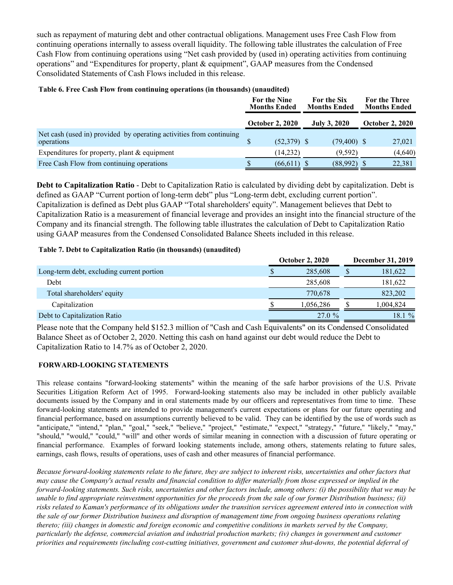such as repayment of maturing debt and other contractual obligations. Management uses Free Cash Flow from continuing operations internally to assess overall liquidity. The following table illustrates the calculation of Free Cash Flow from continuing operations using "Net cash provided by (used in) operating activities from continuing operations" and "Expenditures for property, plant & equipment", GAAP measures from the Condensed Consolidated Statements of Cash Flows included in this release.

### **Table 6. Free Cash Flow from continuing operations (in thousands) (unaudited)**

|                                                                                   | For the Nine<br><b>Months Ended</b> |                        | For the Six<br><b>Months Ended</b> |                     | <b>For the Three</b><br><b>Months Ended</b> |                        |
|-----------------------------------------------------------------------------------|-------------------------------------|------------------------|------------------------------------|---------------------|---------------------------------------------|------------------------|
|                                                                                   |                                     | <b>October 2, 2020</b> |                                    | <b>July 3, 2020</b> |                                             | <b>October 2, 2020</b> |
| Net cash (used in) provided by operating activities from continuing<br>operations |                                     | $(52,379)$ \$          |                                    | $(79,400)$ \$       |                                             | 27,021                 |
| Expenditures for property, plant $&$ equipment                                    |                                     | (14,232)               |                                    | (9,592)             |                                             | (4,640)                |
| Free Cash Flow from continuing operations                                         |                                     | $(66, 611)$ \$         |                                    | (88,992)            |                                             | 22,381                 |

**Debt to Capitalization Ratio** - Debt to Capitalization Ratio is calculated by dividing debt by capitalization. Debt is defined as GAAP "Current portion of long-term debt" plus "Long-term debt, excluding current portion". Capitalization is defined as Debt plus GAAP "Total shareholders' equity". Management believes that Debt to Capitalization Ratio is a measurement of financial leverage and provides an insight into the financial structure of the Company and its financial strength. The following table illustrates the calculation of Debt to Capitalization Ratio using GAAP measures from the Condensed Consolidated Balance Sheets included in this release.

### **Table 7. Debt to Capitalization Ratio (in thousands) (unaudited)**

|                                           | <b>October 2, 2020</b> | <b>December 31, 2019</b> |
|-------------------------------------------|------------------------|--------------------------|
| Long-term debt, excluding current portion | 285,608                | 181,622                  |
| Debt                                      | 285,608                | 181,622                  |
| Total shareholders' equity                | 770.678                | 823,202                  |
| Capitalization                            | 1,056,286              | 1,004,824                |
| Debt to Capitalization Ratio              | 27.0 %                 | 18.1 %                   |

Please note that the Company held \$152.3 million of "Cash and Cash Equivalents" on its Condensed Consolidated Balance Sheet as of October 2, 2020. Netting this cash on hand against our debt would reduce the Debt to Capitalization Ratio to 14.7% as of October 2, 2020.

## **FORWARD-LOOKING STATEMENTS**

This release contains "forward-looking statements" within the meaning of the safe harbor provisions of the U.S. Private Securities Litigation Reform Act of 1995. Forward-looking statements also may be included in other publicly available documents issued by the Company and in oral statements made by our officers and representatives from time to time. These forward-looking statements are intended to provide management's current expectations or plans for our future operating and financial performance, based on assumptions currently believed to be valid. They can be identified by the use of words such as "anticipate," "intend," "plan," "goal," "seek," "believe," "project," "estimate," "expect," "strategy," "future," "likely," "may," "should," "would," "could," "will" and other words of similar meaning in connection with a discussion of future operating or financial performance. Examples of forward looking statements include, among others, statements relating to future sales, earnings, cash flows, results of operations, uses of cash and other measures of financial performance.

*Because forward-looking statements relate to the future, they are subject to inherent risks, uncertainties and other factors that may cause the Company's actual results and financial condition to differ materially from those expressed or implied in the forward-looking statements. Such risks, uncertainties and other factors include, among others: (i) the possibility that we may be unable to find appropriate reinvestment opportunities for the proceeds from the sale of our former Distribution business; (ii) risks related to Kaman's performance of its obligations under the transition services agreement entered into in connection with the sale of our former Distribution business and disruption of management time from ongoing business operations relating thereto; (iii) changes in domestic and foreign economic and competitive conditions in markets served by the Company, particularly the defense, commercial aviation and industrial production markets; (iv) changes in government and customer priorities and requirements (including cost-cutting initiatives, government and customer shut-downs, the potential deferral of*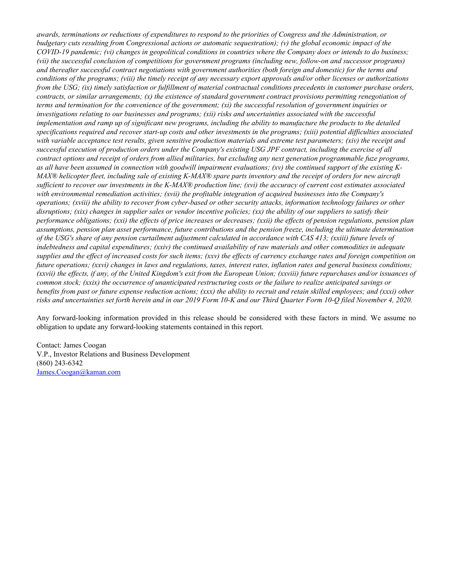*awards, terminations or reductions of expenditures to respond to the priorities of Congress and the Administration, or budgetary cuts resulting from Congressional actions or automatic sequestration); (v) the global economic impact of the COVID-19 pandemic; (vi) changes in geopolitical conditions in countries where the Company does or intends to do business; (vii) the successful conclusion of competitions for government programs (including new, follow-on and successor programs) and thereafter successful contract negotiations with government authorities (both foreign and domestic) for the terms and conditions of the programs; (viii) the timely receipt of any necessary export approvals and/or other licenses or authorizations from the USG; (ix) timely satisfaction or fulfillment of material contractual conditions precedents in customer purchase orders, contracts, or similar arrangements; (x) the existence of standard government contract provisions permitting renegotiation of terms and termination for the convenience of the government; (xi) the successful resolution of government inquiries or investigations relating to our businesses and programs; (xii) risks and uncertainties associated with the successful implementation and ramp up of significant new programs, including the ability to manufacture the products to the detailed specifications required and recover start-up costs and other investments in the programs; (xiii) potential difficulties associated with variable acceptance test results, given sensitive production materials and extreme test parameters; (xiv) the receipt and successful execution of production orders under the Company's existing USG JPF contract, including the exercise of all contract options and receipt of orders from allied militaries, but excluding any next generation programmable fuze programs, as all have been assumed in connection with goodwill impairment evaluations; (xv) the continued support of the existing K-MAX® helicopter fleet, including sale of existing K-MAX® spare parts inventory and the receipt of orders for new aircraft sufficient to recover our investments in the K-MAX® production line; (xvi) the accuracy of current cost estimates associated with environmental remediation activities; (xvii) the profitable integration of acquired businesses into the Company's operations; (xviii) the ability to recover from cyber-based or other security attacks, information technology failures or other disruptions; (xix) changes in supplier sales or vendor incentive policies; (xx) the ability of our suppliers to satisfy their performance obligations; (xxi) the effects of price increases or decreases; (xxii) the effects of pension regulations, pension plan assumptions, pension plan asset performance, future contributions and the pension freeze, including the ultimate determination of the USG's share of any pension curtailment adjustment calculated in accordance with CAS 413; (xxiii) future levels of indebtedness and capital expenditures; (xxiv) the continued availability of raw materials and other commodities in adequate supplies and the effect of increased costs for such items; (xxv) the effects of currency exchange rates and foreign competition on future operations; (xxvi) changes in laws and regulations, taxes, interest rates, inflation rates and general business conditions; (xxvii) the effects, if any, of the United Kingdom's exit from the European Union; (xxviii) future repurchases and/or issuances of common stock; (xxix) the occurrence of unanticipated restructuring costs or the failure to realize anticipated savings or benefits from past or future expense reduction actions; (xxx) the ability to recruit and retain skilled employees; and (xxxi) other risks and uncertainties set forth herein and in our 2019 Form 10-K and our Third Quarter Form 10-Q filed November 4, 2020.*

Any forward-looking information provided in this release should be considered with these factors in mind. We assume no obligation to update any forward-looking statements contained in this report.

Contact: James Coogan V.P., Investor Relations and Business Development (860) 243-6342 James.Coogan@kaman.com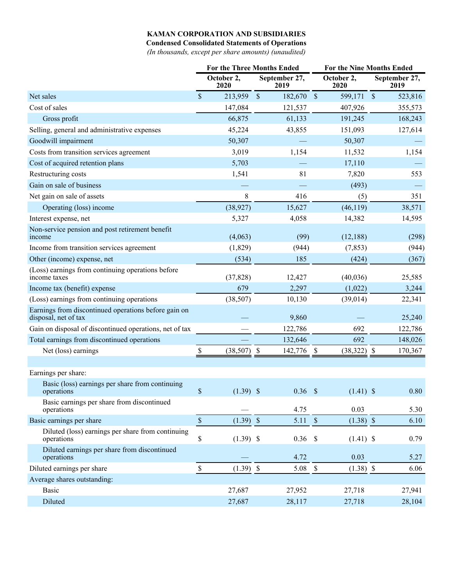## **KAMAN CORPORATION AND SUBSIDIARIES**

**Condensed Consolidated Statements of Operations**

*(In thousands, except per share amounts) (unaudited)*

|                                                                              |              | <b>For the Three Months Ended</b> |                           |               |                    | <b>For the Nine Months Ended</b> |                       |  |
|------------------------------------------------------------------------------|--------------|-----------------------------------|---------------------------|---------------|--------------------|----------------------------------|-----------------------|--|
|                                                                              |              | October 2,<br>2020                | September 27,<br>2019     |               | October 2,<br>2020 |                                  | September 27,<br>2019 |  |
| Net sales                                                                    | $\mathbb{S}$ | 213,959                           | $\sqrt{\ }$<br>182,670 \$ |               | 599,171            | $\mathbf{s}$                     | 523,816               |  |
| Cost of sales                                                                |              | 147,084                           | 121,537                   |               | 407,926            |                                  | 355,573               |  |
| Gross profit                                                                 |              | 66,875                            | 61,133                    |               | 191,245            |                                  | 168,243               |  |
| Selling, general and administrative expenses                                 |              | 45,224                            | 43,855                    |               | 151,093            |                                  | 127,614               |  |
| Goodwill impairment                                                          |              | 50,307                            |                           |               | 50,307             |                                  |                       |  |
| Costs from transition services agreement                                     |              | 3,019                             | 1,154                     |               | 11,532             |                                  | 1,154                 |  |
| Cost of acquired retention plans                                             |              | 5,703                             |                           |               | 17,110             |                                  |                       |  |
| Restructuring costs                                                          |              | 1,541                             | 81                        |               | 7,820              |                                  | 553                   |  |
| Gain on sale of business                                                     |              |                                   |                           |               | (493)              |                                  |                       |  |
| Net gain on sale of assets                                                   |              | 8                                 | 416                       |               | (5)                |                                  | 351                   |  |
| Operating (loss) income                                                      |              | (38, 927)                         | 15,627                    |               | (46, 119)          |                                  | 38,571                |  |
| Interest expense, net                                                        |              | 5,327                             | 4,058                     |               | 14,382             |                                  | 14,595                |  |
| Non-service pension and post retirement benefit<br>income                    |              | (4,063)                           | (99)                      |               | (12, 188)          |                                  | (298)                 |  |
| Income from transition services agreement                                    |              | (1,829)                           | (944)                     |               | (7, 853)           |                                  | (944)                 |  |
| Other (income) expense, net                                                  |              | (534)                             | 185                       |               | (424)              |                                  | (367)                 |  |
| (Loss) earnings from continuing operations before<br>income taxes            |              | (37, 828)                         | 12,427                    |               | (40,036)           |                                  | 25,585                |  |
| Income tax (benefit) expense                                                 |              | 679                               | 2,297                     |               | (1,022)            |                                  | 3,244                 |  |
| (Loss) earnings from continuing operations                                   |              | (38, 507)                         | 10,130                    |               | (39, 014)          |                                  | 22,341                |  |
| Earnings from discontinued operations before gain on<br>disposal, net of tax |              |                                   | 9,860                     |               |                    |                                  | 25,240                |  |
| Gain on disposal of discontinued operations, net of tax                      |              |                                   | 122,786                   |               | 692                |                                  | 122,786               |  |
| Total earnings from discontinued operations                                  |              |                                   | 132,646                   |               | 692                |                                  | 148,026               |  |
| Net (loss) earnings                                                          | \$           | (38, 507)                         | \$<br>142,776             | \$            | (38, 322)          | -S                               | 170,367               |  |
|                                                                              |              |                                   |                           |               |                    |                                  |                       |  |
| Earnings per share:                                                          |              |                                   |                           |               |                    |                                  |                       |  |
| Basic (loss) earnings per share from continuing<br>operations                | $\$$         | $(1.39)$ \$                       | $0.36$ \$                 |               | $(1.41)$ \$        |                                  | 0.80                  |  |
| Basic earnings per share from discontinued<br>operations                     |              |                                   | 4.75                      |               | 0.03               |                                  | 5.30                  |  |
| Basic earnings per share                                                     | $\mathbb{S}$ | $(1.39)$ \$                       | 5.11                      | $\mathcal{S}$ | $(1.38)$ \$        |                                  | 6.10                  |  |
| Diluted (loss) earnings per share from continuing<br>operations              | \$           | $(1.39)$ \$                       | $0.36$ \$                 |               | $(1.41)$ \$        |                                  | 0.79                  |  |
| Diluted earnings per share from discontinued<br>operations                   |              |                                   | 4.72                      |               | 0.03               |                                  | 5.27                  |  |
| Diluted earnings per share                                                   | $\mathbb S$  | $(1.39)$ \$                       | 5.08                      | $\mathcal{S}$ | $(1.38)$ \$        |                                  | 6.06                  |  |
| Average shares outstanding:                                                  |              |                                   |                           |               |                    |                                  |                       |  |
| <b>Basic</b>                                                                 |              | 27,687                            | 27,952                    |               | 27,718             |                                  | 27,941                |  |
| Diluted                                                                      |              | 27,687                            | 28,117                    |               | 27,718             |                                  | 28,104                |  |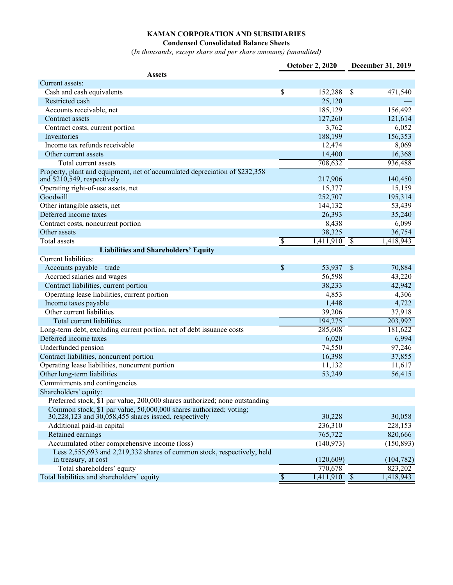# **KAMAN CORPORATION AND SUBSIDIARIES**

#### **Condensed Consolidated Balance Sheets**

(*In thousands, except share and per share amounts) (unaudited)*

|                                                                                                                             |                          | <b>October 2, 2020</b>    |               | December 31, 2019 |
|-----------------------------------------------------------------------------------------------------------------------------|--------------------------|---------------------------|---------------|-------------------|
| <b>Assets</b>                                                                                                               |                          |                           |               |                   |
| Current assets:                                                                                                             |                          |                           |               |                   |
| Cash and cash equivalents                                                                                                   | \$                       | 152,288                   | $\mathcal{S}$ | 471,540           |
| Restricted cash                                                                                                             |                          | 25,120                    |               |                   |
| Accounts receivable, net                                                                                                    |                          | 185,129                   |               | 156,492           |
| Contract assets                                                                                                             |                          | 127,260                   |               | 121,614           |
| Contract costs, current portion                                                                                             |                          | 3,762                     |               | 6,052             |
| Inventories                                                                                                                 |                          | 188,199                   |               | 156,353           |
| Income tax refunds receivable                                                                                               |                          | 12,474                    |               | 8,069             |
| Other current assets                                                                                                        |                          | 14,400                    |               | 16,368            |
| Total current assets                                                                                                        |                          | 708,632                   |               | 936,488           |
| Property, plant and equipment, net of accumulated depreciation of \$232,358<br>and \$210,549, respectively                  |                          | 217,906                   |               | 140,450           |
| Operating right-of-use assets, net                                                                                          |                          | 15,377                    |               | 15,159            |
| Goodwill                                                                                                                    |                          | 252,707                   |               | 195,314           |
| Other intangible assets, net                                                                                                |                          | 144,132                   |               | 53,439            |
| Deferred income taxes                                                                                                       |                          | 26,393                    |               | 35,240            |
|                                                                                                                             |                          | 8,438                     |               | 6,099             |
| Contract costs, noncurrent portion<br>Other assets                                                                          |                          | 38,325                    |               | 36,754            |
| Total assets                                                                                                                | $\overline{\mathcal{S}}$ | $\overline{1,411,910}$ \$ |               |                   |
|                                                                                                                             |                          |                           |               | 1,418,943         |
| <b>Liabilities and Shareholders' Equity</b>                                                                                 |                          |                           |               |                   |
| Current liabilities:                                                                                                        |                          |                           |               |                   |
| Accounts payable - trade                                                                                                    | \$                       | 53,937                    | $\mathcal{S}$ | 70,884            |
| Accrued salaries and wages                                                                                                  |                          | 56,598                    |               | 43,220            |
| Contract liabilities, current portion                                                                                       |                          | 38,233                    |               | 42,942            |
| Operating lease liabilities, current portion                                                                                |                          | 4,853                     |               | 4,306             |
| Income taxes payable                                                                                                        |                          | 1,448                     |               | 4,722             |
| Other current liabilities                                                                                                   |                          | 39,206                    |               | 37,918            |
| <b>Total current liabilities</b>                                                                                            |                          | 194,275                   |               | 203,992           |
| Long-term debt, excluding current portion, net of debt issuance costs                                                       |                          | 285,608                   |               | 181,622           |
| Deferred income taxes                                                                                                       |                          | 6,020                     |               | 6,994             |
| Underfunded pension                                                                                                         |                          | 74,550                    |               | 97,246            |
| Contract liabilities, noncurrent portion                                                                                    |                          | 16,398                    |               | 37,855            |
| Operating lease liabilities, noncurrent portion                                                                             |                          | 11,132                    |               | 11,617            |
| Other long-term liabilities                                                                                                 |                          | 53,249                    |               | 56,415            |
| Commitments and contingencies                                                                                               |                          |                           |               |                   |
| Shareholders' equity:                                                                                                       |                          |                           |               |                   |
| Preferred stock, \$1 par value, 200,000 shares authorized; none outstanding                                                 |                          |                           |               |                   |
| Common stock, \$1 par value, 50,000,000 shares authorized; voting;<br>30,228,123 and 30,058,455 shares issued, respectively |                          | 30,228                    |               | 30,058            |
| Additional paid-in capital                                                                                                  |                          | 236,310                   |               | 228,153           |
| Retained earnings                                                                                                           |                          | 765,722                   |               | 820,666           |
| Accumulated other comprehensive income (loss)                                                                               |                          | (140, 973)                |               | (150, 893)        |
| Less 2,555,693 and 2,219,332 shares of common stock, respectively, held                                                     |                          |                           |               |                   |
| in treasury, at cost                                                                                                        |                          | (120, 609)                |               | (104, 782)        |
| Total shareholders' equity                                                                                                  |                          | 770,678                   |               | 823,202           |
| Total liabilities and shareholders' equity                                                                                  | $\overline{\mathcal{S}}$ | $\overline{1,411,910}$ \$ |               | 1,418,943         |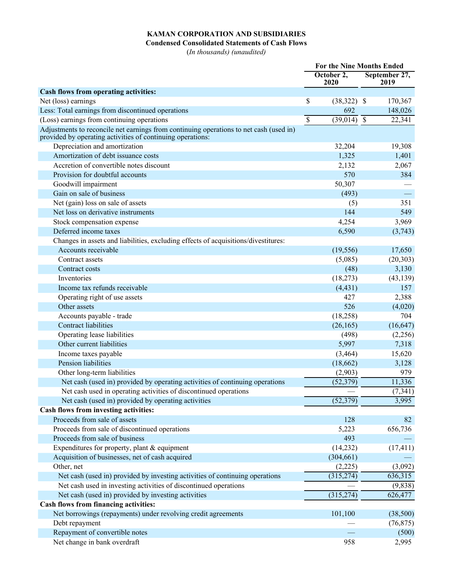## **KAMAN CORPORATION AND SUBSIDIARIES**

**Condensed Consolidated Statements of Cash Flows**

(*In thousands) (unaudited)*

|                                                                                                                                                      | <b>For the Nine Months Ended</b> |                          |  |                       |
|------------------------------------------------------------------------------------------------------------------------------------------------------|----------------------------------|--------------------------|--|-----------------------|
|                                                                                                                                                      |                                  | October 2,<br>2020       |  | September 27,<br>2019 |
| Cash flows from operating activities:                                                                                                                |                                  |                          |  |                       |
| Net (loss) earnings                                                                                                                                  | \$                               | $(38,322)$ \$            |  | 170,367               |
| Less: Total earnings from discontinued operations                                                                                                    |                                  | 692                      |  | 148,026               |
| (Loss) earnings from continuing operations                                                                                                           | \$                               | $\overline{(39,014)}$ \$ |  | 22,341                |
| Adjustments to reconcile net earnings from continuing operations to net cash (used in)<br>provided by operating activities of continuing operations: |                                  |                          |  |                       |
| Depreciation and amortization                                                                                                                        |                                  | 32,204                   |  | 19,308                |
| Amortization of debt issuance costs                                                                                                                  |                                  | 1,325                    |  | 1,401                 |
| Accretion of convertible notes discount                                                                                                              |                                  | 2,132                    |  | 2,067                 |
| Provision for doubtful accounts                                                                                                                      |                                  | 570                      |  | 384                   |
| Goodwill impairment                                                                                                                                  |                                  | 50,307                   |  |                       |
| Gain on sale of business                                                                                                                             |                                  | (493)                    |  |                       |
| Net (gain) loss on sale of assets                                                                                                                    |                                  | (5)                      |  | 351                   |
| Net loss on derivative instruments                                                                                                                   |                                  | 144                      |  | 549                   |
| Stock compensation expense                                                                                                                           |                                  | 4,254                    |  | 3,969                 |
| Deferred income taxes                                                                                                                                |                                  | 6,590                    |  | (3,743)               |
| Changes in assets and liabilities, excluding effects of acquisitions/divestitures:                                                                   |                                  |                          |  |                       |
| Accounts receivable                                                                                                                                  |                                  | (19, 556)                |  | 17,650                |
| Contract assets                                                                                                                                      |                                  | (5,085)                  |  | (20,303)              |
| Contract costs                                                                                                                                       |                                  | (48)                     |  | 3,130                 |
| Inventories                                                                                                                                          |                                  | (18, 273)                |  | (43, 139)             |
| Income tax refunds receivable                                                                                                                        |                                  | (4, 431)                 |  | 157                   |
| Operating right of use assets                                                                                                                        |                                  | 427                      |  | 2,388                 |
| Other assets                                                                                                                                         |                                  | 526                      |  | (4,020)               |
| Accounts payable - trade                                                                                                                             |                                  | (18, 258)                |  | 704                   |
| <b>Contract liabilities</b>                                                                                                                          |                                  | (26, 165)                |  | (16, 647)             |
| Operating lease liabilities                                                                                                                          |                                  | (498)                    |  | (2,256)               |
| Other current liabilities                                                                                                                            |                                  | 5,997                    |  | 7,318                 |
| Income taxes payable                                                                                                                                 |                                  | (3, 464)                 |  | 15,620                |
| Pension liabilities                                                                                                                                  |                                  | (18,662)                 |  | 3,128                 |
| Other long-term liabilities                                                                                                                          |                                  | (2,903)                  |  | 979                   |
| Net cash (used in) provided by operating activities of continuing operations                                                                         |                                  | (52, 379)                |  | 11,336                |
| Net cash used in operating activities of discontinued operations                                                                                     |                                  |                          |  | (7, 341)              |
| Net cash (used in) provided by operating activities                                                                                                  |                                  | (52, 379)                |  | 3,995                 |
| Cash flows from investing activities:                                                                                                                |                                  |                          |  |                       |
| Proceeds from sale of assets                                                                                                                         |                                  | 128                      |  | 82                    |
| Proceeds from sale of discontinued operations                                                                                                        |                                  | 5,223                    |  | 656,736               |
| Proceeds from sale of business                                                                                                                       |                                  | 493                      |  |                       |
| Expenditures for property, plant $&$ equipment                                                                                                       |                                  | (14,232)                 |  | (17, 411)             |
| Acquisition of businesses, net of cash acquired                                                                                                      |                                  | (304, 661)               |  |                       |
| Other, net                                                                                                                                           |                                  | (2,225)                  |  | (3,092)               |
| Net cash (used in) provided by investing activities of continuing operations                                                                         |                                  | (315, 274)               |  | 636,315               |
| Net cash used in investing activities of discontinued operations                                                                                     |                                  |                          |  | (9,838)               |
| Net cash (used in) provided by investing activities                                                                                                  |                                  | (315, 274)               |  | 626,477               |
| Cash flows from financing activities:                                                                                                                |                                  |                          |  |                       |
| Net borrowings (repayments) under revolving credit agreements                                                                                        |                                  | 101,100                  |  | (38,500)              |
| Debt repayment                                                                                                                                       |                                  |                          |  | (76, 875)             |
| Repayment of convertible notes                                                                                                                       |                                  |                          |  | (500)                 |
| Net change in bank overdraft                                                                                                                         |                                  | 958                      |  | 2,995                 |